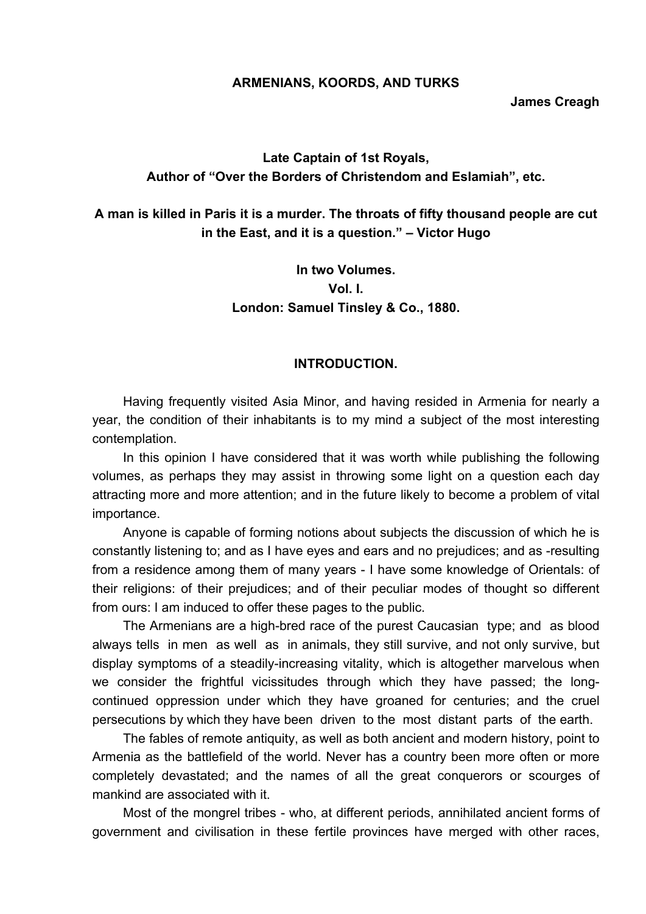#### **ARMENIANS, KOORDS, AND TURKS**

**James Creagh** 

# **Late Captain of 1st Royals, Author of "Over the Borders of Christendom and Eslamiah", etc.**

**A man is killed in Paris it is a murder. The throats of fifty thousand people are cut in the East, and it is a question." – Victor Hugo** 

> **In two Volumes. Vol. I. London: Samuel Tinsley & Co., 1880.**

#### **INTRODUCTION.**

Having frequently visited Asia Minor, and having resided in Armenia for nearly a year, the condition of their inhabitants is to my mind a subject of the most interesting contemplation.

In this opinion I have considered that it was worth while publishing the following volumes, as perhaps they may assist in throwing some light on a question each day attracting more and more attention; and in the future likely to become a problem of vital importance.

Anyone is capable of forming notions about subjects the discussion of which he is constantly listening to; and as I have eyes and ears and no prejudices; and as -resulting from a residence among them of many years - I have some knowledge of Orientals: of their religions: of their prejudices; and of their peculiar modes of thought so different from ours: I am induced to offer these pages to the public.

The Armenians are a high-bred race of the purest Caucasian type; and as blood always tells in men as well as in animals, they still survive, and not only survive, but display symptoms of a steadily-increasing vitality, which is altogether marvelous when we consider the frightful vicissitudes through which they have passed; the longcontinued oppression under which they have groaned for centuries; and the cruel persecutions by which they have been driven to the most distant parts of the earth.

The fables of remote antiquity, as well as both ancient and modern history, point to Armenia as the battlefield of the world. Never has a country been more often or more completely devastated; and the names of all the great conquerors or scourges of mankind are associated with it.

Most of the mongrel tribes - who, at different periods, annihilated ancient forms of government and civilisation in these fertile provinces have merged with other races,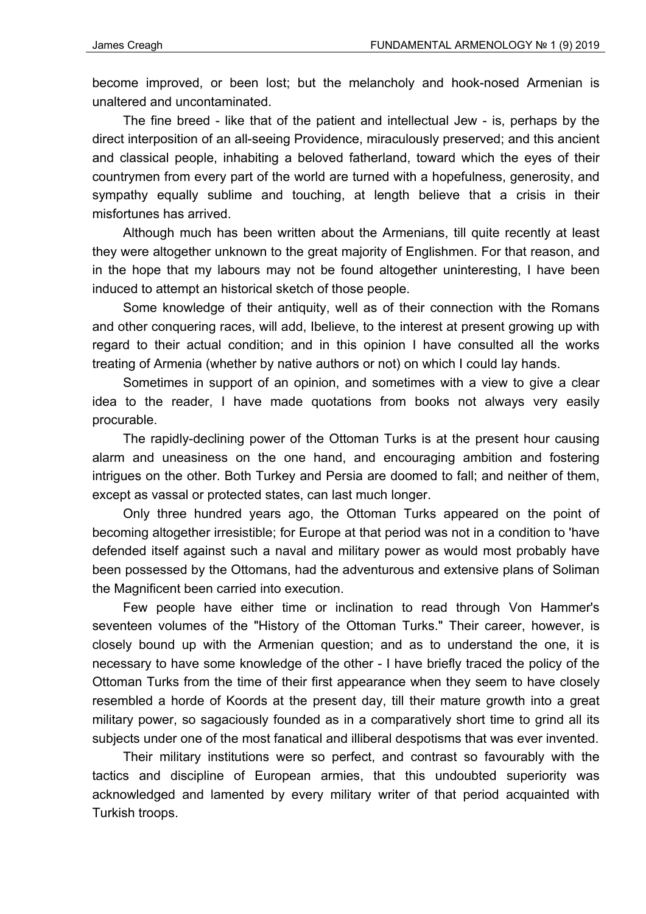become improved, or been lost; but the melancholy and hook-nosed Armenian is unaltered and uncontaminated.

The fine breed - like that of the patient and intellectual Jew - is, perhaps by the direct interposition of an all-seeing Providence, miraculously preserved; and this ancient and classical people, inhabiting a beloved fatherland, toward which the eyes of their countrymen from every part of the world are turned with a hopefulness, generosity, and sympathy equally sublime and touching, at length believe that a crisis in their misfortunes has arrived.

Although much has been written about the Armenians, till quite recently at least they were altogether unknown to the great majority of Englishmen. For that reason, and in the hope that my labours may not be found altogether uninteresting, I have been induced to attempt an historical sketch of those people.

Some knowledge of their antiquity, well as of their connection with the Romans and other conquering races, will add, Ibelieve, to the interest at present growing up with regard to their actual condition; and in this opinion I have consulted all the works treating of Armenia (whether by native authors or not) on which I could lay hands.

Sometimes in support of an opinion, and sometimes with a view to give a clear idea to the reader, I have made quotations from books not always very easily procurable.

The rapidly-declining power of the Ottoman Turks is at the present hour causing alarm and uneasiness on the one hand, and encouraging ambition and fostering intrigues on the other. Both Turkey and Persia are doomed to fall; and neither of them, except as vassal or protected states, can last much longer.

Only three hundred years ago, the Ottoman Turks appeared on the point of becoming altogether irresistible; for Europe at that period was not in a condition to 'have defended itself against such a naval and military power as would most probably have been possessed by the Ottomans, had the adventurous and extensive plans of Soliman the Magnificent been carried into execution.

Few people have either time or inclination to read through Von Hammer's seventeen volumes of the "History of the Ottoman Turks." Their career, however, is closely bound up with the Armenian question; and as to understand the one, it is necessary to have some knowledge of the other - I have briefly traced the policy of the Ottoman Turks from the time of their first appearance when they seem to have closely resembled a horde of Koords at the present day, till their mature growth into a great military power, so sagaciously founded as in a comparatively short time to grind all its subjects under one of the most fanatical and illiberal despotisms that was ever invented.

Their military institutions were so perfect, and contrast so favourably with the tactics and discipline of European armies, that this undoubted superiority was acknowledged and lamented by every military writer of that period acquainted with Turkish troops.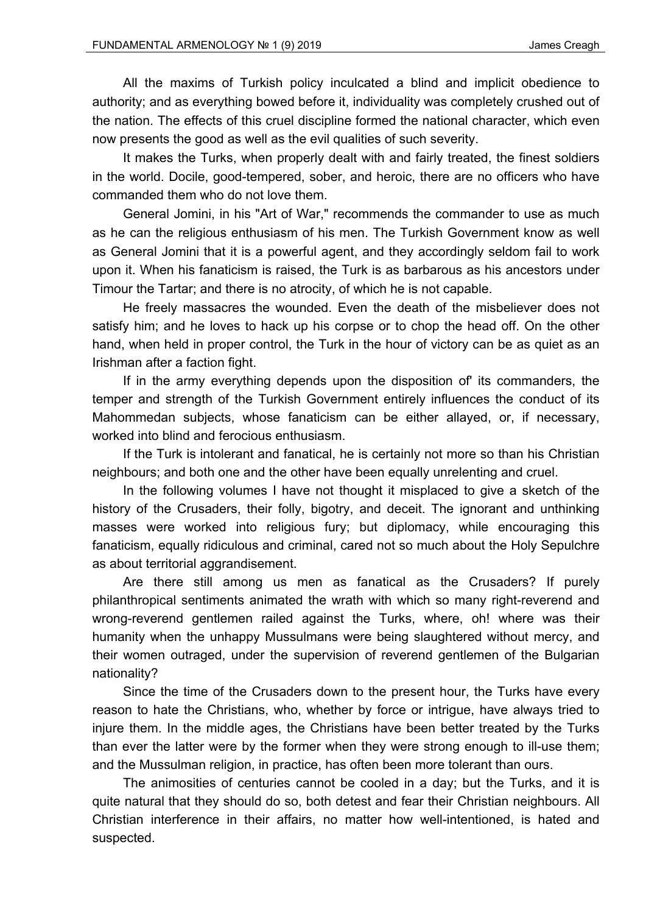All the maxims of Turkish policy inculcated a blind and implicit obedience to authority; and as everything bowed before it, individuality was completely crushed out of the nation. The effects of this cruel discipline formed the national character, which even now presents the good as well as the evil qualities of such severity.

It makes the Turks, when properly dealt with and fairly treated, the finest soldiers in the world. Docile, good-tempered, sober, and heroic, there are no officers who have commanded them who do not love them.

General Jomini, in his "Art of War," recommends the commander to use as much as he can the religious enthusiasm of his men. The Turkish Government know as well as General Jomini that it is a powerful agent, and they accordingly seldom fail to work upon it. When his fanaticism is raised, the Turk is as barbarous as his ancestors under Timour the Tartar; and there is no atrocity, of which he is not capable.

He freely massacres the wounded. Even the death of the misbeliever does not satisfy him; and he loves to hack up his corpse or to chop the head off. On the other hand, when held in proper control, the Turk in the hour of victory can be as quiet as an Irishman after a faction fight.

If in the army everything depends upon the disposition of' its commanders, the temper and strength of the Turkish Government entirely influences the conduct of its Mahommedan subjects, whose fanaticism can be either allayed, or, if necessary, worked into blind and ferocious enthusiasm.

If the Turk is intolerant and fanatical, he is certainly not more so than his Christian neighbours; and both one and the other have been equally unrelenting and cruel.

In the following volumes I have not thought it misplaced to give a sketch of the history of the Crusaders, their folly, bigotry, and deceit. The ignorant and unthinking masses were worked into religious fury; but diplomacy, while encouraging this fanaticism, equally ridiculous and criminal, cared not so much about the Holy Sepulchre as about territorial aggrandisement.

Are there still among us men as fanatical as the Crusaders? If purely philanthropical sentiments animated the wrath with which so many right-reverend and wrong-reverend gentlemen railed against the Turks, where, oh! where was their humanity when the unhappy Mussulmans were being slaughtered without mercy, and their women outraged, under the supervision of reverend gentlemen of the Bulgarian nationality?

Since the time of the Crusaders down to the present hour, the Turks have every reason to hate the Christians, who, whether by force or intrigue, have always tried to injure them. In the middle ages, the Christians have been better treated by the Turks than ever the latter were by the former when they were strong enough to ill-use them; and the Mussulman religion, in practice, has often been more tolerant than ours.

The animosities of centuries cannot be cooled in a day; but the Turks, and it is quite natural that they should do so, both detest and fear their Christian neighbours. All Christian interference in their affairs, no matter how well-intentioned, is hated and suspected.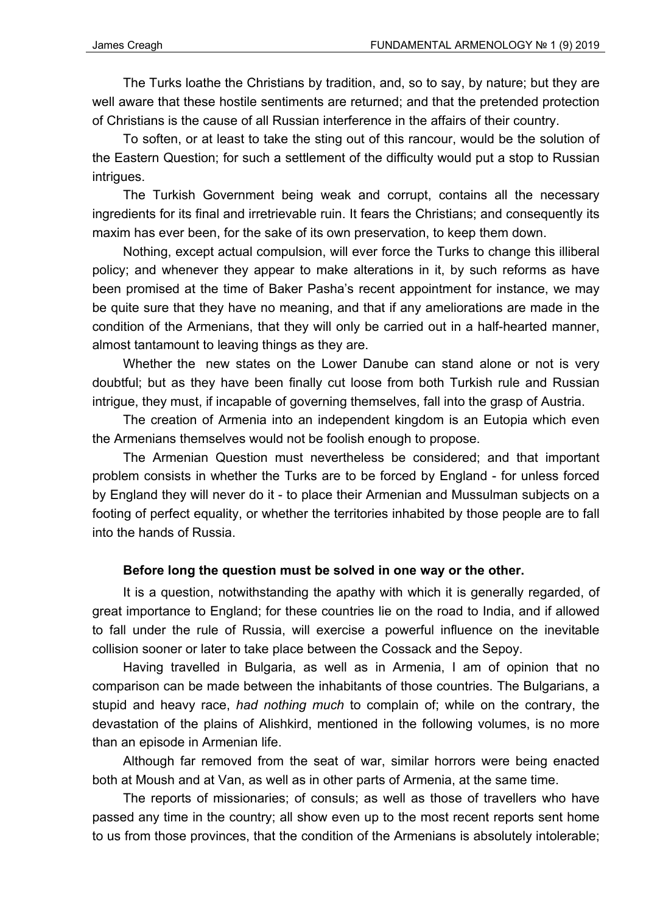The Turks loathe the Christians by tradition, and, so to say, by nature; but they are well aware that these hostile sentiments are returned; and that the pretended protection of Christians is the cause of all Russian interference in the affairs of their country.

To soften, or at least to take the sting out of this rancour, would be the solution of the Eastern Question; for such a settlement of the difficulty would put a stop to Russian intrigues.

The Turkish Government being weak and corrupt, contains all the necessary ingredients for its final and irretrievable ruin. It fears the Christians; and consequently its maxim has ever been, for the sake of its own preservation, to keep them down.

Nothing, except actual compulsion, will ever force the Turks to change this illiberal policy; and whenever they appear to make alterations in it, by such reforms as have been promised at the time of Baker Pasha's recent appointment for instance, we may be quite sure that they have no meaning, and that if any ameliorations are made in the condition of the Armenians, that they will only be carried out in a half-hearted manner, almost tantamount to leaving things as they are.

Whether the new states on the Lower Danube can stand alone or not is very doubtful; but as they have been finally cut loose from both Turkish rule and Russian intrigue, they must, if incapable of governing themselves, fall into the grasp of Austria.

The creation of Armenia into an independent kingdom is an Eutopia which even the Armenians themselves would not be foolish enough to propose.

The Armenian Question must nevertheless be considered; and that important problem consists in whether the Turks are to be forced by England - for unless forced by England they will never do it - to place their Armenian and Mussulman subjects on a footing of perfect equality, or whether the territories inhabited by those people are to fall into the hands of Russia.

# **Before long the question must be solved in one way or the other.**

It is a question, notwithstanding the apathy with which it is generally regarded, of great importance to England; for these countries lie on the road to India, and if allowed to fall under the rule of Russia, will exercise a powerful influence on the inevitable collision sooner or later to take place between the Cossack and the Sepoy.

Having travelled in Bulgaria, as well as in Armenia, I am of opinion that no comparison can be made between the inhabitants of those countries. The Bulgarians, a stupid and heavy race, *had nothing much* to complain of; while on the contrary, the devastation of the plains of Alishkird, mentioned in the following volumes, is no more than an episode in Armenian life.

Although far removed from the seat of war, similar horrors were being enacted both at Moush and at Van, as well as in other parts of Armenia, at the same time.

The reports of missionaries; of consuls; as well as those of travellers who have passed any time in the country; all show even up to the most recent reports sent home to us from those provinces, that the condition of the Armenians is absolutely intolerable;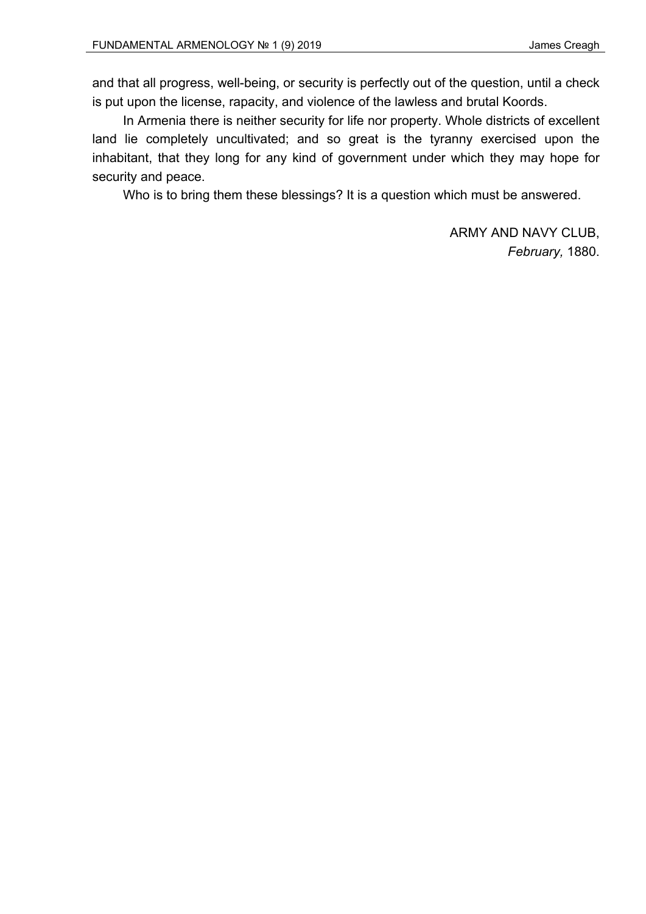and that all progress, well-being, or security is perfectly out of the question, until a check is put upon the license, rapacity, and violence of the lawless and brutal Koords.

In Armenia there is neither security for life nor property. Whole districts of excellent land lie completely uncultivated; and so great is the tyranny exercised upon the inhabitant, that they long for any kind of government under which they may hope for security and peace.

Who is to bring them these blessings? It is a question which must be answered.

ARMY AND NAVY CLUB, *February,* 1880.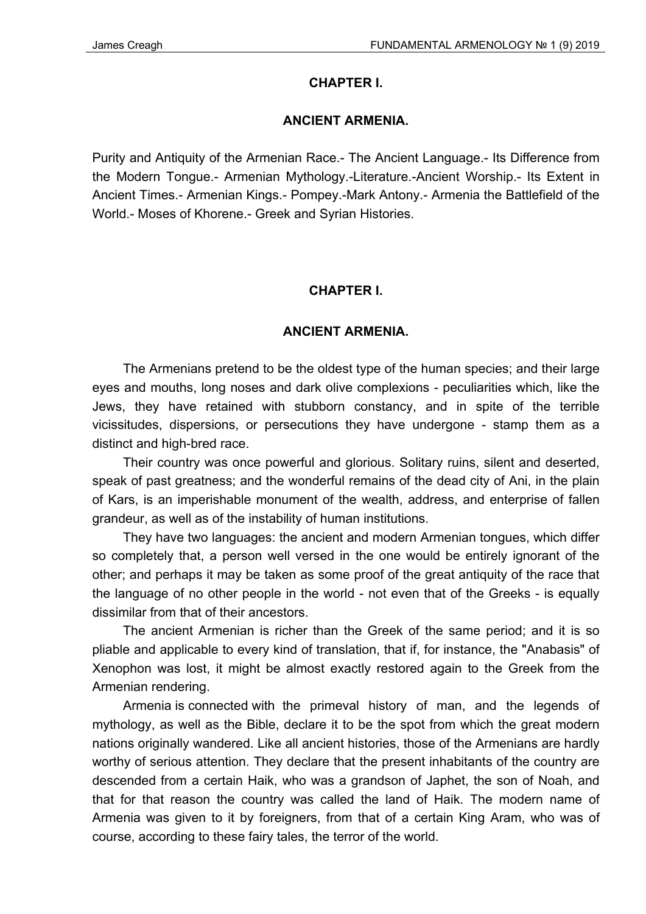## **CHAPTER I.**

#### **ANCIENT ARMENIA.**

Purity and Antiquity of the Armenian Race.- The Ancient Language.- Its Difference from the Modern Tongue.- Armenian Mythology.-Literature.-Ancient Worship.- Its Extent in Ancient Times.- Armenian Kings.- Pompey.-Mark Antony.- Armenia the Battlefield of the World.- Moses of Khorene.- Greek and Syrian Histories.

## **CHAPTER I.**

## **ANCIENT ARMENIA.**

The Armenians pretend to be the oldest type of the human species; and their large eyes and mouths, long noses and dark olive complexions - peculiarities which, like the Jews, they have retained with stubborn constancy, and in spite of the terrible vicissitudes, dispersions, or persecutions they have undergone - stamp them as a distinct and high-bred race.

Their country was once powerful and glorious. Solitary ruins, silent and deserted, speak of past greatness; and the wonderful remains of the dead city of Ani, in the plain of Kars, is an imperishable monument of the wealth, address, and enterprise of fallen grandeur, as well as of the instability of human institutions.

They have two languages: the ancient and modern Armenian tongues, which differ so completely that, a person well versed in the one would be entirely ignorant of the other; and perhaps it may be taken as some proof of the great antiquity of the race that the language of no other people in the world - not even that of the Greeks - is equally dissimilar from that of their ancestors.

The ancient Armenian is richer than the Greek of the same period; and it is so pliable and applicable to every kind of translation, that if, for instance, the "Anabasis" of Xenophon was lost, it might be almost exactly restored again to the Greek from the Armenian rendering.

Armenia is connected with the primeval history of man, and the legends of mythology, as well as the Bible, declare it to be the spot from which the great modern nations originally wandered. Like all ancient histories, those of the Armenians are hardly worthy of serious attention. They declare that the present inhabitants of the country are descended from a certain Haik, who was a grandson of Japhet, the son of Noah, and that for that reason the country was called the land of Haik. The modern name of Armenia was given to it by foreigners, from that of a certain King Aram, who was of course, according to these fairy tales, the terror of the world.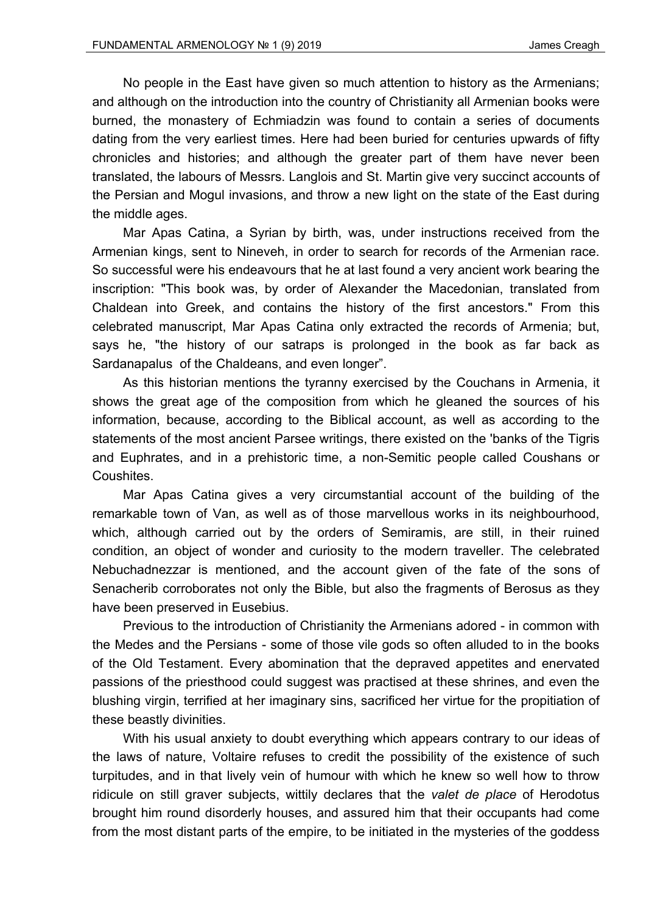No people in the East have given so much attention to history as the Armenians; and although on the introduction into the country of Christianity all Armenian books were burned, the monastery of Echmiadzin was found to contain a series of documents dating from the very earliest times. Here had been buried for centuries upwards of fifty chronicles and histories; and although the greater part of them have never been translated, the labours of Messrs. Langlois and St. Martin give very succinct accounts of the Persian and Mogul invasions, and throw a new light on the state of the East during the middle ages.

Mar Apas Catina, a Syrian by birth, was, under instructions received from the Armenian kings, sent to Nineveh, in order to search for records of the Armenian race. So successful were his endeavours that he at last found a very ancient work bearing the inscription: "This book was, by order of Alexander the Macedonian, translated from Chaldean into Greek, and contains the history of the first ancestors." From this celebrated manuscript, Mar Apas Catina only extracted the records of Armenia; but, says he, "the history of our satraps is prolonged in the book as far back as Sardanapalus of the Chaldeans, and even longer".

As this historian mentions the tyranny exercised by the Couchans in Armenia, it shows the great age of the composition from which he gleaned the sources of his information, because, according to the Biblical account, as well as according to the statements of the most ancient Parsee writings, there existed on the 'banks of the Tigris and Euphrates, and in a prehistoric time, a non-Semitic people called Coushans or Coushites.

Mar Apas Catina gives a very circumstantial account of the building of the remarkable town of Van, as well as of those marvellous works in its neighbourhood, which, although carried out by the orders of Semiramis, are still, in their ruined condition, an object of wonder and curiosity to the modern traveller. The celebrated Nebuchadnezzar is mentioned, and the account given of the fate of the sons of Senacherib corroborates not only the Bible, but also the fragments of Berosus as they have been preserved in Eusebius.

Previous to the introduction of Christianity the Armenians adored - in common with the Medes and the Persians - some of those vile gods so often alluded to in the books of the Old Testament. Every abomination that the depraved appetites and enervated passions of the priesthood could suggest was practised at these shrines, and even the blushing virgin, terrified at her imaginary sins, sacrificed her virtue for the propitiation of these beastly divinities.

With his usual anxiety to doubt everything which appears contrary to our ideas of the laws of nature, Voltaire refuses to credit the possibility of the existence of such turpitudes, and in that lively vein of humour with which he knew so well how to throw ridicule on still graver subjects, wittily declares that the *valet de place* of Herodotus brought him round disorderly houses, and assured him that their occupants had come from the most distant parts of the empire, to be initiated in the mysteries of the goddess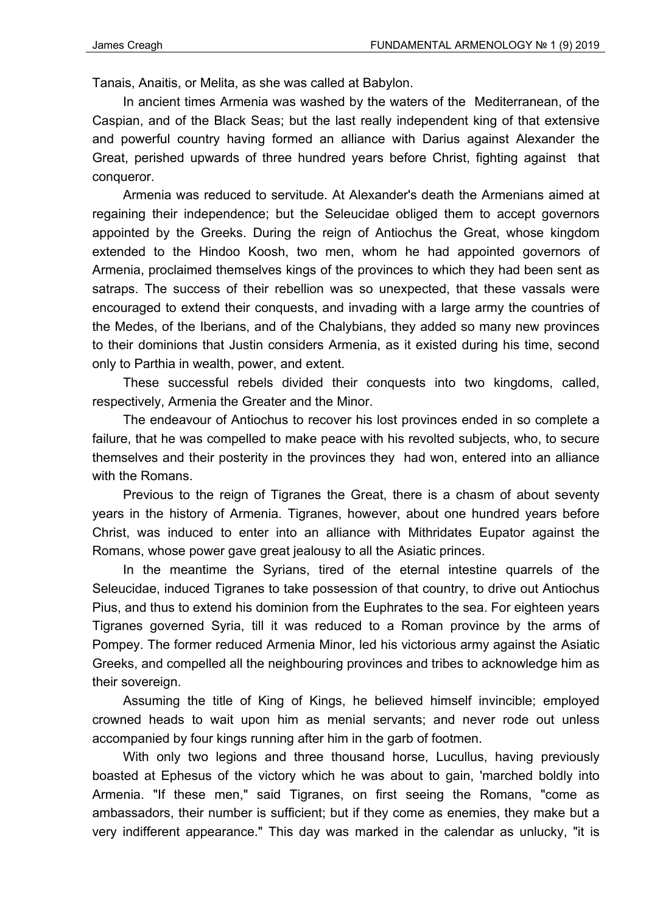Tanais, Anaitis, or Melita, as she was called at Babylon.

In ancient times Armenia was washed by the waters of the Mediterranean, of the Caspian, and of the Black Seas; but the last really independent king of that extensive and powerful country having formed an alliance with Darius against Alexander the Great, perished upwards of three hundred years before Christ, fighting against that conqueror.

Armenia was reduced to servitude. At Alexander's death the Armenians aimed at regaining their independence; but the Seleucidae obliged them to accept governors appointed by the Greeks. During the reign of Antiochus the Great, whose kingdom extended to the Hindoo Koosh, two men, whom he had appointed governors of Armenia, proclaimed themselves kings of the provinces to which they had been sent as satraps. The success of their rebellion was so unexpected, that these vassals were encouraged to extend their conquests, and invading with a large army the countries of the Medes, of the Iberians, and of the Chalybians, they added so many new provinces to their dominions that Justin considers Armenia, as it existed during his time, second only to Parthia in wealth, power, and extent.

These successful rebels divided their conquests into two kingdoms, called, respectively, Armenia the Greater and the Minor.

The endeavour of Antiochus to recover his lost provinces ended in so complete a failure, that he was compelled to make peace with his revolted subjects, who, to secure themselves and their posterity in the provinces they had won, entered into an alliance with the Romans.

Previous to the reign of Tigranes the Great, there is a chasm of about seventy years in the history of Armenia. Tigranes, however, about one hundred years before Christ, was induced to enter into an alliance with Mithridates Eupator against the Romans, whose power gave great jealousy to all the Asiatic princes.

In the meantime the Syrians, tired of the eternal intestine quarrels of the Seleucidae, induced Tigranes to take possession of that country, to drive out Antiochus Pius, and thus to extend his dominion from the Euphrates to the sea. For eighteen years Tigranes governed Syria, till it was reduced to a Roman province by the arms of Pompey. The former reduced Armenia Minor, led his victorious army against the Asiatic Greeks, and compelled all the neighbouring provinces and tribes to acknowledge him as their sovereign.

Assuming the title of King of Kings, he believed himself invincible; employed crowned heads to wait upon him as menial servants; and never rode out unless accompanied by four kings running after him in the garb of footmen.

With only two legions and three thousand horse, Lucullus, having previously boasted at Ephesus of the victory which he was about to gain, 'marched boldly into Armenia. "If these men," said Tigranes, on first seeing the Romans, "come as ambassadors, their number is sufficient; but if they come as enemies, they make but a very indifferent appearance." This day was marked in the calendar as unlucky, "it is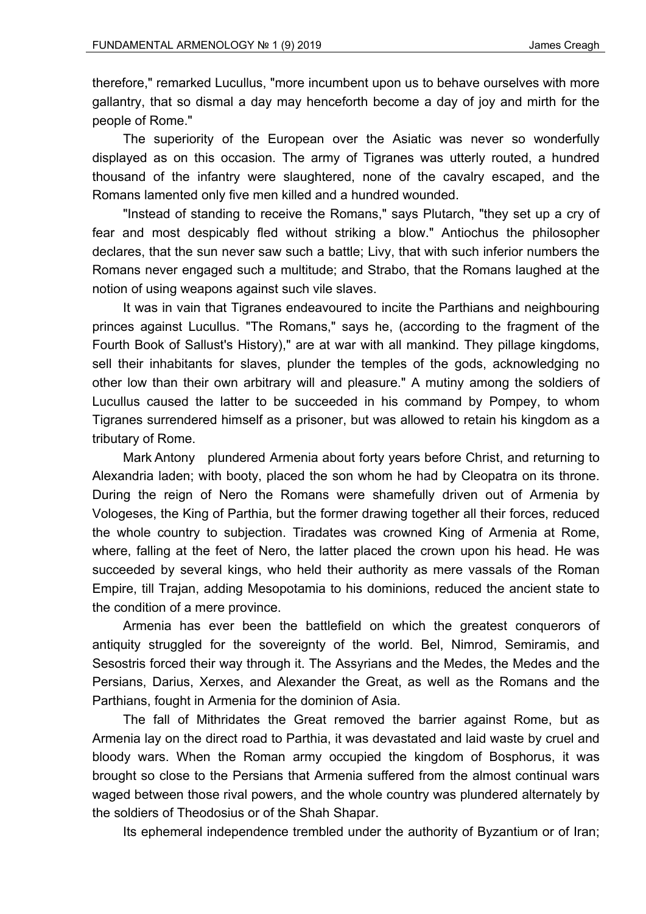therefore," remarked Lucullus, "more incumbent upon us to behave ourselves with more gallantry, that so dismal a day may henceforth become a day of joy and mirth for the people of Rome."

The superiority of the European over the Asiatic was never so wonderfully displayed as on this occasion. The army of Tigranes was utterly routed, a hundred thousand of the infantry were slaughtered, none of the cavalry escaped, and the Romans lamented only five men killed and a hundred wounded.

"Instead of standing to receive the Romans," says Plutarch, "they set up a cry of fear and most despicably fled without striking a blow." Antiochus the philosopher declares, that the sun never saw such a battle; Livy, that with such inferior numbers the Romans never engaged such a multitude; and Strabo, that the Romans laughed at the notion of using weapons against such vile slaves.

It was in vain that Tigranes endeavoured to incite the Parthians and neighbouring princes against Lucullus. "The Romans," says he, (according to the fragment of the Fourth Book of Sallust's History)," are at war with all mankind. They pillage kingdoms, sell their inhabitants for slaves, plunder the temples of the gods, acknowledging no other low than their own arbitrary will and pleasure." A mutiny among the soldiers of Lucullus caused the latter to be succeeded in his command by Pompey, to whom Tigranes surrendered himself as a prisoner, but was allowed to retain his kingdom as a tributary of Rome.

Mark Antony plundered Armenia about forty years before Christ, and returning to Alexandria laden; with booty, placed the son whom he had by Cleopatra on its throne. During the reign of Nero the Romans were shamefully driven out of Armenia by Vologeses, the King of Parthia, but the former drawing together all their forces, reduced the whole country to subjection. Tiradates was crowned King of Armenia at Rome, where, falling at the feet of Nero, the latter placed the crown upon his head. He was succeeded by several kings, who held their authority as mere vassals of the Roman Empire, till Trajan, adding Mesopotamia to his dominions, reduced the ancient state to the condition of a mere province.

Armenia has ever been the battlefield on which the greatest conquerors of antiquity struggled for the sovereignty of the world. Bel, Nimrod, Semiramis, and Sesostris forced their way through it. The Assyrians and the Medes, the Medes and the Persians, Darius, Xerxes, and Alexander the Great, as well as the Romans and the Parthians, fought in Armenia for the dominion of Asia.

The fall of Mithridates the Great removed the barrier against Rome, but as Armenia lay on the direct road to Parthia, it was devastated and laid waste by cruel and bloody wars. When the Roman army occupied the kingdom of Bosphorus, it was brought so close to the Persians that Armenia suffered from the almost continual wars waged between those rival powers, and the whole country was plundered alternately by the soldiers of Theodosius or of the Shah Shapar.

Its ephemeral independence trembled under the authority of Byzantium or of Iran;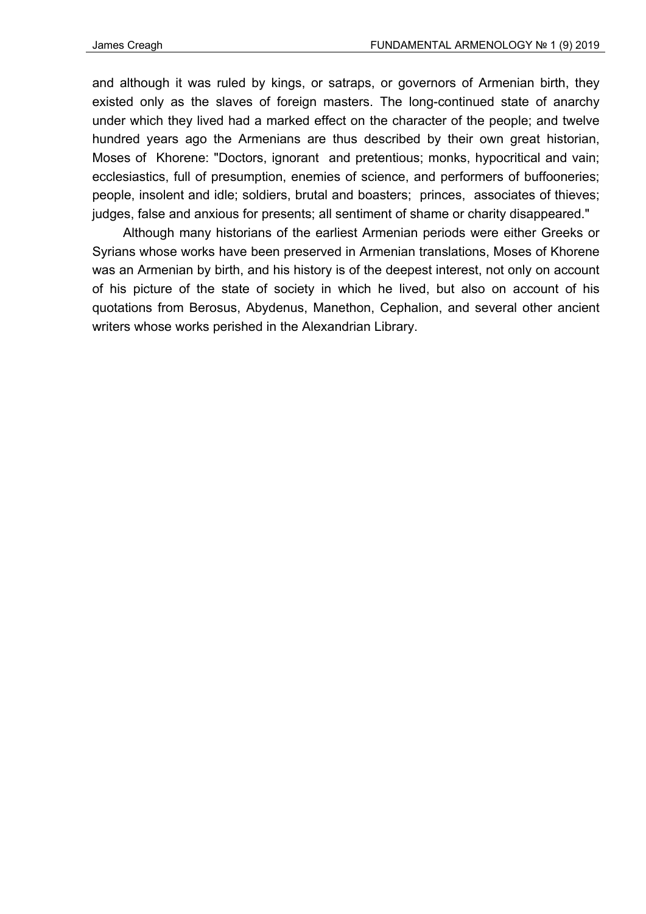and although it was ruled by kings, or satraps, or governors of Armenian birth, they existed only as the slaves of foreign masters. The long-continued state of anarchy under which they lived had a marked effect on the character of the people; and twelve hundred years ago the Armenians are thus described by their own great historian, Moses of Khorene: "Doctors, ignorant and pretentious; monks, hypocritical and vain; ecclesiastics, full of presumption, enemies of science, and performers of buffooneries; people, insolent and idle; soldiers, brutal and boasters; princes, associates of thieves; judges, false and anxious for presents; all sentiment of shame or charity disappeared."

Although many historians of the earliest Armenian periods were either Greeks or Syrians whose works have been preserved in Armenian translations, Moses of Khorene was an Armenian by birth, and his history is of the deepest interest, not only on account of his picture of the state of society in which he lived, but also on account of his quotations from Berosus, Abydenus, Manethon, Cephalion, and several other ancient writers whose works perished in the Alexandrian Library.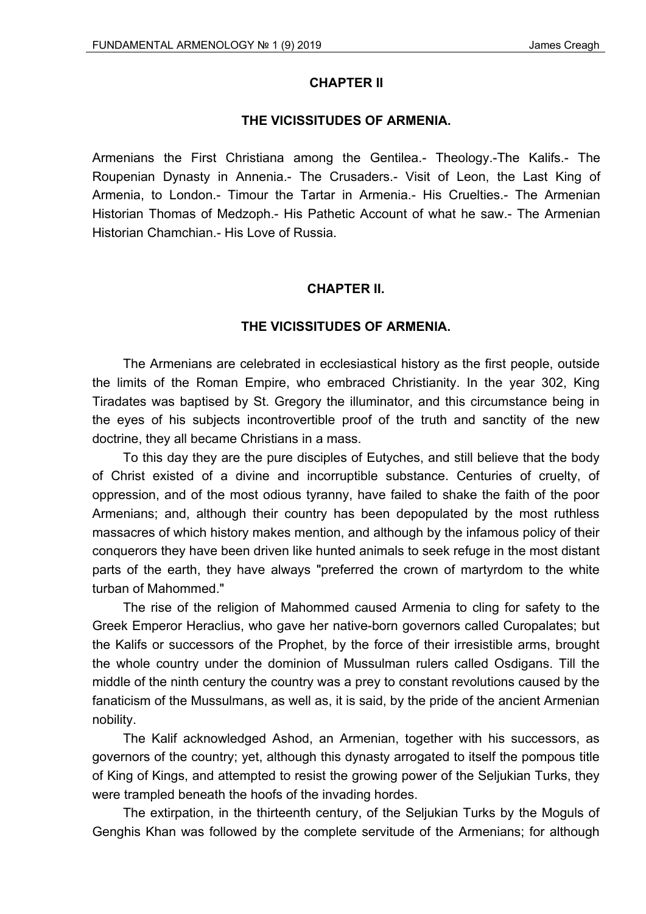#### **CHAPTER II**

## **THE VICISSITUDES OF ARMENIA.**

Armenians the First Christiana among the Gentilea.- Theology.-The Kalifs.- The Roupenian Dynasty in Annenia.- The Crusaders.- Visit of Leon, the Last King of Armenia, to London.- Timour the Tartar in Armenia.- His Cruelties.- The Armenian Historian Thomas of Medzoph.- His Pathetic Account of what he saw.- The Armenian Historian Chamchian.- His Love of Russia.

# **CHAPTER II.**

## **THE VICISSITUDES OF ARMENIA.**

The Armenians are celebrated in ecclesiastical history as the first people, outside the limits of the Roman Empire, who embraced Christianity. In the year 302, King Tiradates was baptised by St. Gregory the illuminator, and this circumstance being in the eyes of his subjects incontrovertible proof of the truth and sanctity of the new doctrine, they all became Christians in a mass.

To this day they are the pure disciples of Eutyches, and still believe that the body of Christ existed of a divine and incorruptible substance. Centuries of cruelty, of oppression, and of the most odious tyranny, have failed to shake the faith of the poor Armenians; and, although their country has been depopulated by the most ruthless massacres of which history makes mention, and although by the infamous policy of their conquerors they have been driven like hunted animals to seek refuge in the most distant parts of the earth, they have always "preferred the crown of martyrdom to the white turban of Mahommed."

The rise of the religion of Mahommed caused Armenia to cling for safety to the Greek Emperor Heraclius, who gave her native-born governors called Curopalates; but the Kalifs or successors of the Prophet, by the force of their irresistible arms, brought the whole country under the dominion of Mussulman rulers called Osdigans. Till the middle of the ninth century the country was a prey to constant revolutions caused by the fanaticism of the Mussulmans, as well as, it is said, by the pride of the ancient Armenian nobility.

The Kalif acknowledged Ashod, an Armenian, together with his successors, as governors of the country; yet, although this dynasty arrogated to itself the pompous title of King of Kings, and attempted to resist the growing power of the Seljukian Turks, they were trampled beneath the hoofs of the invading hordes.

The extirpation, in the thirteenth century, of the Seljukian Turks by the Moguls of Genghis Khan was followed by the complete servitude of the Armenians; for although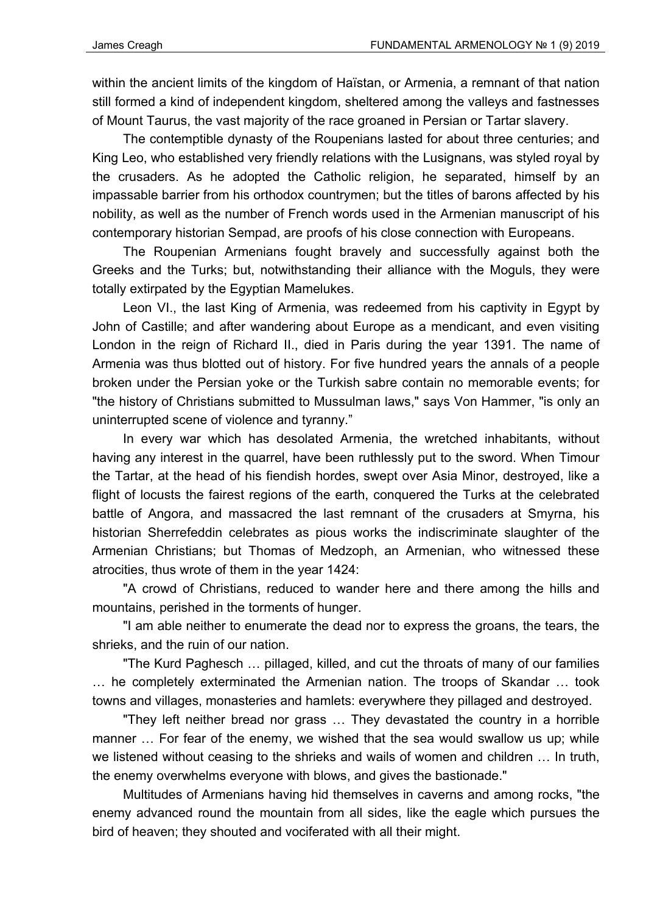within the ancient limits of the kingdom of Haïstan, or Armenia, a remnant of that nation still formed a kind of independent kingdom, sheltered among the valleys and fastnesses of Mount Taurus, the vast majority of the race groaned in Persian or Tartar slavery.

The contemptible dynasty of the Roupenians lasted for about three centuries; and King Leo, who established very friendly relations with the Lusignans, was styled royal by the crusaders. As he adopted the Catholic religion, he separated, himself by an impassable barrier from his orthodox countrymen; but the titles of barons affected by his nobility, as well as the number of French words used in the Armenian manuscript of his contemporary historian Sempad, are proofs of his close connection with Europeans.

The Roupenian Armenians fought bravely and successfully against both the Greeks and the Turks; but, notwithstanding their alliance with the Moguls, they were totally extirpated by the Egyptian Mamelukes.

Leon VI., the last King of Armenia, was redeemed from his captivity in Egypt by John of Castille; and after wandering about Europe as a mendicant, and even visiting London in the reign of Richard II., died in Paris during the year 1391. The name of Armenia was thus blotted out of history. For five hundred years the annals of a people broken under the Persian yoke or the Turkish sabre contain no memorable events; for "the history of Christians submitted to Mussulman laws," says Von Hammer, "is only an uninterrupted scene of violence and tyranny."

In every war which has desolated Armenia, the wretched inhabitants, without having any interest in the quarrel, have been ruthlessly put to the sword. When Timour the Tartar, at the head of his fiendish hordes, swept over Asia Minor, destroyed, like a flight of locusts the fairest regions of the earth, conquered the Turks at the celebrated battle of Angora, and massacred the last remnant of the crusaders at Smyrna, his historian Sherrefeddin celebrates as pious works the indiscriminate slaughter of the Armenian Christians; but Thomas of Medzoph, an Armenian, who witnessed these atrocities, thus wrote of them in the year 1424:

"A crowd of Christians, reduced to wander here and there among the hills and mountains, perished in the torments of hunger.

"I am able neither to enumerate the dead nor to express the groans, the tears, the shrieks, and the ruin of our nation.

"The Kurd Paghesch … pillaged, killed, and cut the throats of many of our families … he completely exterminated the Armenian nation. The troops of Skandar … took towns and villages, monasteries and hamlets: everywhere they pillaged and destroyed.

"They left neither bread nor grass … They devastated the country in a horrible manner … For fear of the enemy, we wished that the sea would swallow us up; while we listened without ceasing to the shrieks and wails of women and children … In truth, the enemy overwhelms everyone with blows, and gives the bastionade."

Multitudes of Armenians having hid themselves in caverns and among rocks, "the enemy advanced round the mountain from all sides, like the eagle which pursues the bird of heaven; they shouted and vociferated with all their might.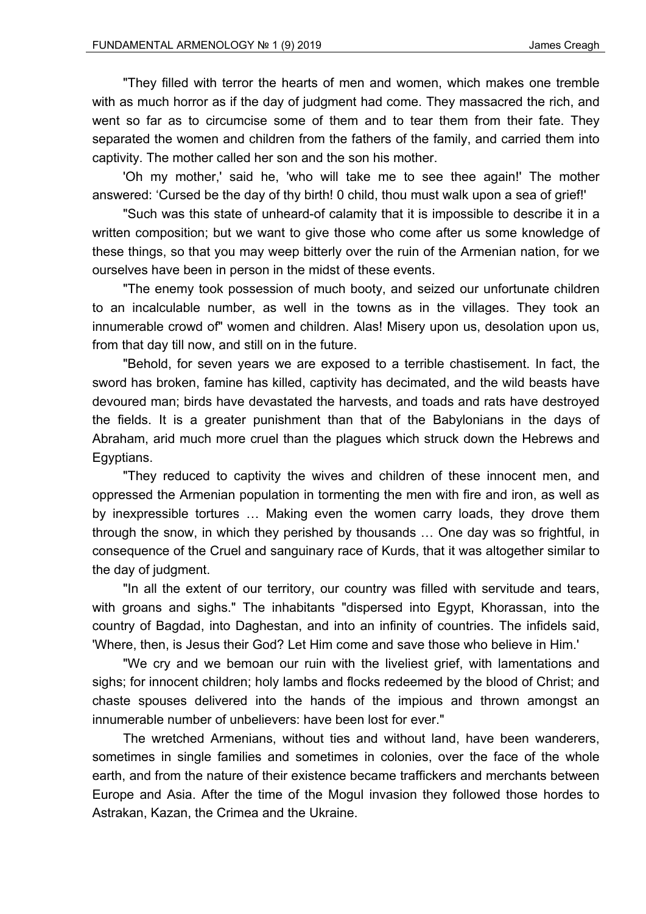"They filled with terror the hearts of men and women, which makes one tremble with as much horror as if the day of judgment had come. They massacred the rich, and went so far as to circumcise some of them and to tear them from their fate. They separated the women and children from the fathers of the family, and carried them into captivity. The mother called her son and the son his mother.

'Oh my mother,' said he, 'who will take me to see thee again!' The mother answered: 'Cursed be the day of thy birth! 0 child, thou must walk upon a sea of grief!'

"Such was this state of unheard-of calamity that it is impossible to describe it in a written composition; but we want to give those who come after us some knowledge of these things, so that you may weep bitterly over the ruin of the Armenian nation, for we ourselves have been in person in the midst of these events.

"The enemy took possession of much booty, and seized our unfortunate children to an incalculable number, as well in the towns as in the villages. They took an innumerable crowd of" women and children. Alas! Misery upon us, desolation upon us, from that day till now, and still on in the future.

"Behold, for seven years we are exposed to a terrible chastisement. In fact, the sword has broken, famine has killed, captivity has decimated, and the wild beasts have devoured man; birds have devastated the harvests, and toads and rats have destroyed the fields. It is a greater punishment than that of the Babylonians in the days of Abraham, arid much more cruel than the plagues which struck down the Hebrews and Egyptians.

"They reduced to captivity the wives and children of these innocent men, and oppressed the Armenian population in tormenting the men with fire and iron, as well as by inexpressible tortures … Making even the women carry loads, they drove them through the snow, in which they perished by thousands … One day was so frightful, in consequence of the Cruel and sanguinary race of Kurds, that it was altogether similar to the day of judgment.

"In all the extent of our territory, our country was filled with servitude and tears, with groans and sighs." The inhabitants "dispersed into Egypt, Khorassan, into the country of Bagdad, into Daghestan, and into an infinity of countries. The infidels said, 'Where, then, is Jesus their God? Let Him come and save those who believe in Him.'

"We cry and we bemoan our ruin with the liveliest grief, with lamentations and sighs; for innocent children; holy lambs and flocks redeemed by the blood of Christ; and chaste spouses delivered into the hands of the impious and thrown amongst an innumerable number of unbelievers: have been lost for ever."

The wretched Armenians, without ties and without land, have been wanderers, sometimes in single families and sometimes in colonies, over the face of the whole earth, and from the nature of their existence became traffickers and merchants between Europe and Asia. After the time of the Mogul invasion they followed those hordes to Astrakan, Kazan, the Crimea and the Ukraine.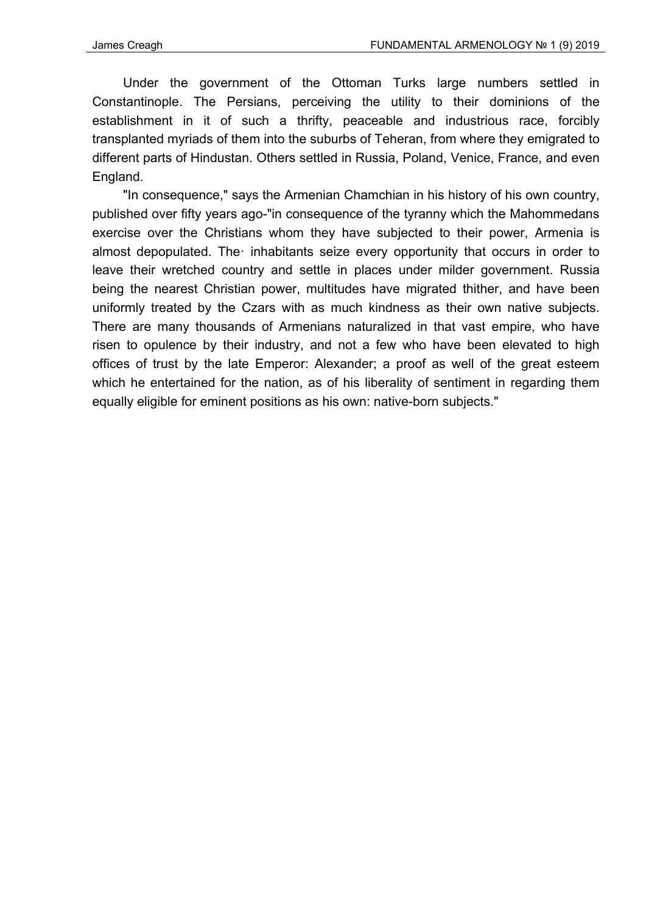Under the government of the Ottoman Turks large numbers settled in Constantinople. The Persians, perceiving the utility to their dominions of the establishment in it of such a thrifty, peaceable and industrious race, forcibly transplanted myriads of them into the suburbs of Teheran, from where they emigrated to different parts of Hindustan. Others settled in Russia, Poland, Venice, France, and even England.

"In consequence," says the Armenian Chamchian in his history of his own country, published over fifty years ago-"in consequence of the tyranny which the Mahommedans exercise over the Christians whom they have subjected to their power, Armenia is almost depopulated. The· inhabitants seize every opportunity that occurs in order to leave their wretched country and settle in places under milder government. Russia being the nearest Christian power, multitudes have migrated thither, and have been uniformly treated by the Czars with as much kindness as their own native subjects. There are many thousands of Armenians naturalized in that vast empire, who have risen to opulence by their industry, and not a few who have been elevated to high offices of trust by the late Emperor: Alexander; a proof as well of the great esteem which he entertained for the nation, as of his liberality of sentiment in regarding them equally eligible for eminent positions as his own: native-born subjects."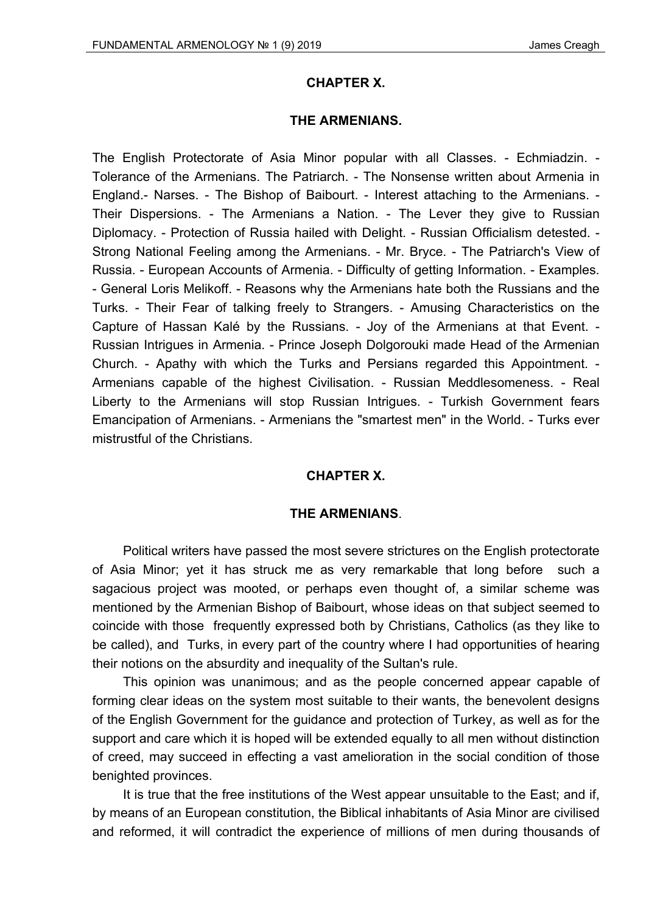#### **CHAPTER X.**

#### **THE ARMENIANS.**

The English Protectorate of Asia Minor popular with all Classes. - Echmiadzin. - Tolerance of the Armenians. The Patriarch. - The Nonsense written about Armenia in England.- Narses. - The Bishop of Baibourt. - Interest attaching to the Armenians. - Their Dispersions. - The Armenians a Nation. - The Lever they give to Russian Diplomacy. - Protection of Russia hailed with Delight. - Russian Officialism detested. - Strong National Feeling among the Armenians. - Mr. Bryce. - The Patriarch's View of Russia. - European Accounts of Armenia. - Difficulty of getting Information. - Examples. - General Loris Melikoff. - Reasons why the Armenians hate both the Russians and the Turks. - Their Fear of talking freely to Strangers. - Amusing Characteristics on the Capture of Hassan Kalé by the Russians. - Joy of the Armenians at that Event. - Russian Intrigues in Armenia. - Prince Joseph Dolgorouki made Head of the Armenian Church. - Apathy with which the Turks and Persians regarded this Appointment. - Armenians capable of the highest Civilisation. - Russian Meddlesomeness. - Real Liberty to the Armenians will stop Russian Intrigues. - Turkish Government fears Emancipation of Armenians. - Armenians the "smartest men" in the World. - Turks ever mistrustful of the Christians.

#### **CHAPTER X.**

#### **THE ARMENIANS**.

Political writers have passed the most severe strictures on the English protectorate of Asia Minor; yet it has struck me as very remarkable that long before such a sagacious project was mooted, or perhaps even thought of, a similar scheme was mentioned by the Armenian Bishop of Baibourt, whose ideas on that subject seemed to coincide with those frequently expressed both by Christians, Catholics (as they like to be called), and Turks, in every part of the country where I had opportunities of hearing their notions on the absurdity and inequality of the Sultan's rule.

This opinion was unanimous; and as the people concerned appear capable of forming clear ideas on the system most suitable to their wants, the benevolent designs of the English Government for the guidance and protection of Turkey, as well as for the support and care which it is hoped will be extended equally to all men without distinction of creed, may succeed in effecting a vast amelioration in the social condition of those benighted provinces.

It is true that the free institutions of the West appear unsuitable to the East; and if, by means of an European constitution, the Biblical inhabitants of Asia Minor are civilised and reformed, it will contradict the experience of millions of men during thousands of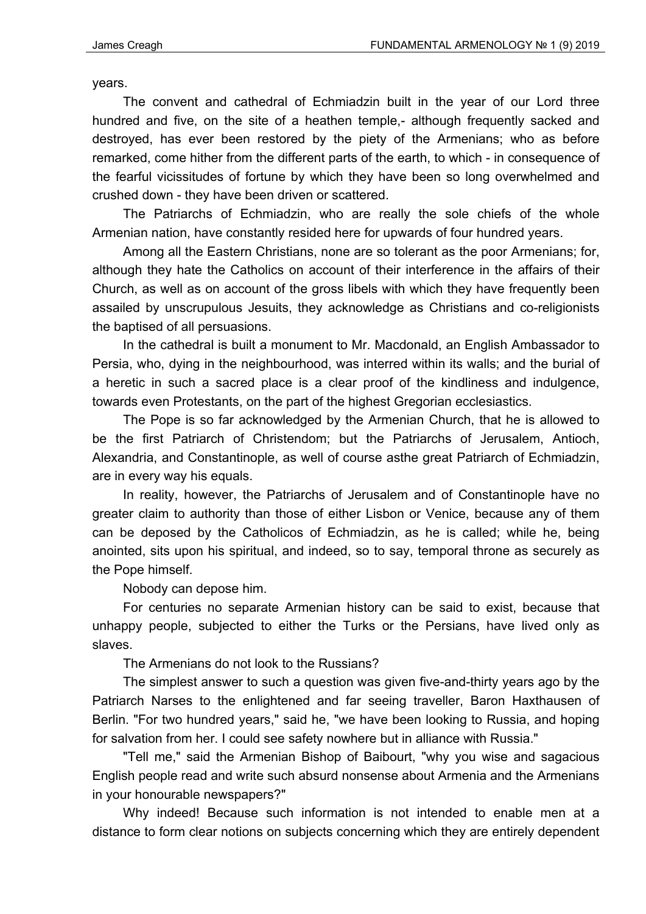years.

The convent and cathedral of Echmiadzin built in the year of our Lord three hundred and five, on the site of a heathen temple,- although frequently sacked and destroyed, has ever been restored by the piety of the Armenians; who as before remarked, come hither from the different parts of the earth, to which - in consequence of the fearful vicissitudes of fortune by which they have been so long overwhelmed and crushed down - they have been driven or scattered.

The Patriarchs of Echmiadzin, who are really the sole chiefs of the whole Armenian nation, have constantly resided here for upwards of four hundred years.

Among all the Eastern Christians, none are so tolerant as the poor Armenians; for, although they hate the Catholics on account of their interference in the affairs of their Church, as well as on account of the gross libels with which they have frequently been assailed by unscrupulous Jesuits, they acknowledge as Christians and co-religionists the baptised of all persuasions.

In the cathedral is built a monument to Mr. Macdonald, an English Ambassador to Persia, who, dying in the neighbourhood, was interred within its walls; and the burial of a heretic in such a sacred place is a clear proof of the kindliness and indulgence, towards even Protestants, on the part of the highest Gregorian ecclesiastics.

The Pope is so far acknowledged by the Armenian Church, that he is allowed to be the first Patriarch of Christendom; but the Patriarchs of Jerusalem, Antioch, Alexandria, and Constantinople, as well of course asthe great Patriarch of Echmiadzin, are in every way his equals.

In reality, however, the Patriarchs of Jerusalem and of Constantinople have no greater claim to authority than those of either Lisbon or Venice, because any of them can be deposed by the Catholicos of Echmiadzin, as he is called; while he, being anointed, sits upon his spiritual, and indeed, so to say, temporal throne as securely as the Pope himself.

Nobody can depose him.

For centuries no separate Armenian history can be said to exist, because that unhappy people, subjected to either the Turks or the Persians, have lived only as slaves.

The Armenians do not look to the Russians?

The simplest answer to such a question was given five-and-thirty years ago by the Patriarch Narses to the enlightened and far seeing traveller, Baron Haxthausen of Berlin. "For two hundred years," said he, "we have been looking to Russia, and hoping for salvation from her. I could see safety nowhere but in alliance with Russia."

"Tell me," said the Armenian Bishop of Baibourt, "why you wise and sagacious English people read and write such absurd nonsense about Armenia and the Armenians in your honourable newspapers?"

Why indeed! Because such information is not intended to enable men at a distance to form clear notions on subjects concerning which they are entirely dependent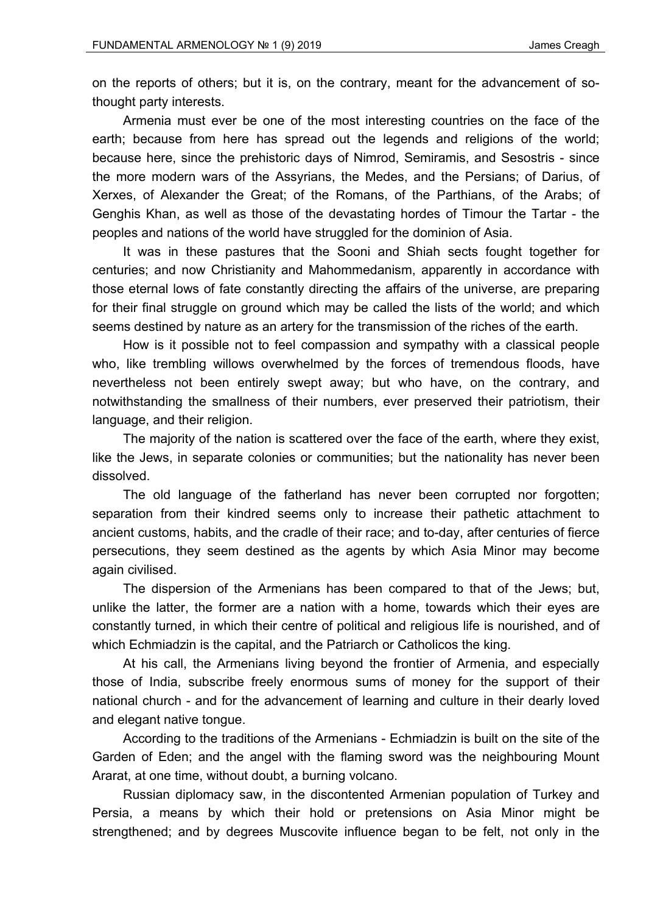on the reports of others; but it is, on the contrary, meant for the advancement of sothought party interests.

Armenia must ever be one of the most interesting countries on the face of the earth; because from here has spread out the legends and religions of the world; because here, since the prehistoric days of Nimrod, Semiramis, and Sesostris - since the more modern wars of the Assyrians, the Medes, and the Persians; of Darius, of Xerxes, of Alexander the Great; of the Romans, of the Parthians, of the Arabs; of Genghis Khan, as well as those of the devastating hordes of Timour the Tartar - the peoples and nations of the world have struggled for the dominion of Asia.

It was in these pastures that the Sooni and Shiah sects fought together for centuries; and now Christianity and Mahommedanism, apparently in accordance with those eternal lows of fate constantly directing the affairs of the universe, are preparing for their final struggle on ground which may be called the lists of the world; and which seems destined by nature as an artery for the transmission of the riches of the earth.

How is it possible not to feel compassion and sympathy with a classical people who, like trembling willows overwhelmed by the forces of tremendous floods, have nevertheless not been entirely swept away; but who have, on the contrary, and notwithstanding the smallness of their numbers, ever preserved their patriotism, their language, and their religion.

The majority of the nation is scattered over the face of the earth, where they exist, like the Jews, in separate colonies or communities; but the nationality has never been dissolved.

The old language of the fatherland has never been corrupted nor forgotten; separation from their kindred seems only to increase their pathetic attachment to ancient customs, habits, and the cradle of their race; and to-day, after centuries of fierce persecutions, they seem destined as the agents by which Asia Minor may become again civilised.

The dispersion of the Armenians has been compared to that of the Jews; but, unlike the latter, the former are a nation with a home, towards which their eyes are constantly turned, in which their centre of political and religious life is nourished, and of which Echmiadzin is the capital, and the Patriarch or Catholicos the king.

At his call, the Armenians living beyond the frontier of Armenia, and especially those of India, subscribe freely enormous sums of money for the support of their national church - and for the advancement of learning and culture in their dearly loved and elegant native tongue.

According to the traditions of the Armenians - Echmiadzin is built on the site of the Garden of Eden; and the angel with the flaming sword was the neighbouring Mount Ararat, at one time, without doubt, a burning volcano.

Russian diplomacy saw, in the discontented Armenian population of Turkey and Persia, a means by which their hold or pretensions on Asia Minor might be strengthened; and by degrees Muscovite influence began to be felt, not only in the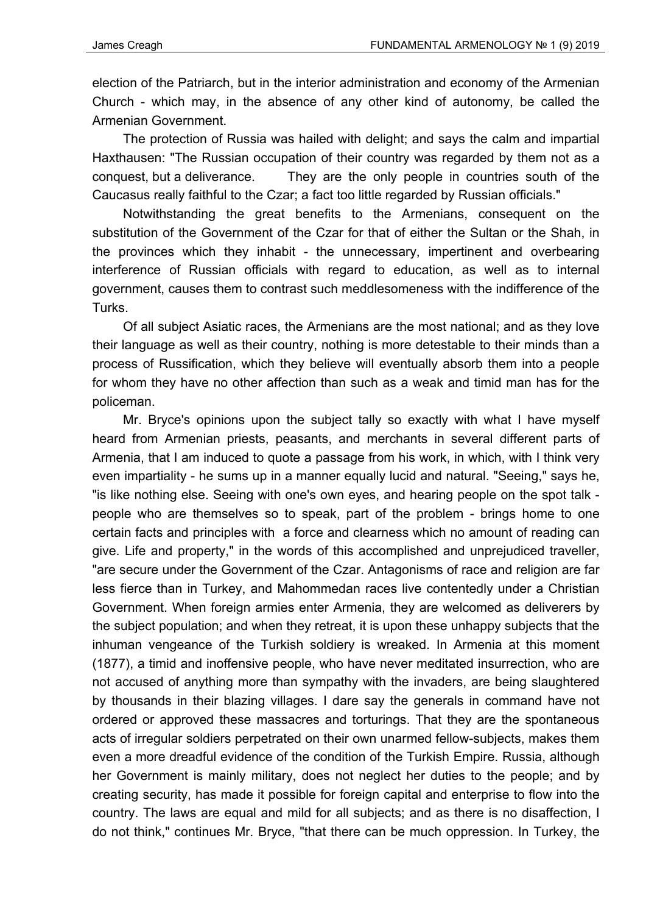election of the Patriarch, but in the interior administration and economy of the Armenian Church - which may, in the absence of any other kind of autonomy, be called the Armenian Government.

The protection of Russia was hailed with delight; and says the calm and impartial Haxthausen: "The Russian occupation of their country was regarded by them not as a conquest, but a deliverance. They are the only people in countries south of the Caucasus really faithful to the Czar; a fact too little regarded by Russian officials."

Notwithstanding the great benefits to the Armenians, consequent on the substitution of the Government of the Czar for that of either the Sultan or the Shah, in the provinces which they inhabit - the unnecessary, impertinent and overbearing interference of Russian officials with regard to education, as well as to internal government, causes them to contrast such meddlesomeness with the indifference of the Turks.

Of all subject Asiatic races, the Armenians are the most national; and as they love their language as well as their country, nothing is more detestable to their minds than a process of Russification, which they believe will eventually absorb them into a people for whom they have no other affection than such as a weak and timid man has for the policeman.

Mr. Bryce's opinions upon the subject tally so exactly with what I have myself heard from Armenian priests, peasants, and merchants in several different parts of Armenia, that I am induced to quote a passage from his work, in which, with I think very even impartiality - he sums up in a manner equally lucid and natural. "Seeing," says he, "is like nothing else. Seeing with one's own eyes, and hearing people on the spot talk people who are themselves so to speak, part of the problem - brings home to one certain facts and principles with a force and clearness which no amount of reading can give. Life and property," in the words of this accomplished and unprejudiced traveller, "are secure under the Government of the Czar. Antagonisms of race and religion are far less fierce than in Turkey, and Mahommedan races live contentedly under a Christian Government. When foreign armies enter Armenia, they are welcomed as deliverers by the subject population; and when they retreat, it is upon these unhappy subjects that the inhuman vengeance of the Turkish soldiery is wreaked. In Armenia at this moment (1877), a timid and inoffensive people, who have never meditated insurrection, who are not accused of anything more than sympathy with the invaders, are being slaughtered by thousands in their blazing villages. I dare say the generals in command have not ordered or approved these massacres and torturings. That they are the spontaneous acts of irregular soldiers perpetrated on their own unarmed fellow-subjects, makes them even a more dreadful evidence of the condition of the Turkish Empire. Russia, although her Government is mainly military, does not neglect her duties to the people; and by creating security, has made it possible for foreign capital and enterprise to flow into the country. The laws are equal and mild for all subjects; and as there is no disaffection, I do not think," continues Mr. Bryce, "that there can be much oppression. In Turkey, the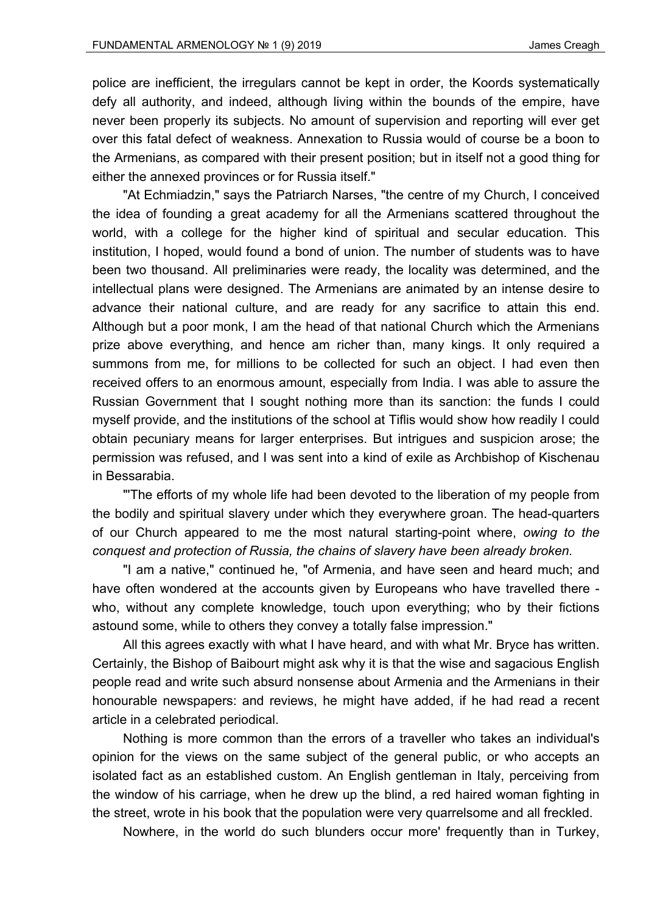police are inefficient, the irregulars cannot be kept in order, the Koords systematically defy all authority, and indeed, although living within the bounds of the empire, have never been properly its subjects. No amount of supervision and reporting will ever get over this fatal defect of weakness. Annexation to Russia would of course be a boon to the Armenians, as compared with their present position; but in itself not a good thing for either the annexed provinces or for Russia itself."

"At Echmiadzin," says the Patriarch Narses, "the centre of my Church, I conceived the idea of founding a great academy for all the Armenians scattered throughout the world, with a college for the higher kind of spiritual and secular education. This institution, I hoped, would found a bond of union. The number of students was to have been two thousand. All preliminaries were ready, the locality was determined, and the intellectual plans were designed. The Armenians are animated by an intense desire to advance their national culture, and are ready for any sacrifice to attain this end. Although but a poor monk, I am the head of that national Church which the Armenians prize above everything, and hence am richer than, many kings. It only required a summons from me, for millions to be collected for such an object. I had even then received offers to an enormous amount, especially from India. I was able to assure the Russian Government that I sought nothing more than its sanction: the funds I could myself provide, and the institutions of the school at Tiflis would show how readily I could obtain pecuniary means for larger enterprises. But intrigues and suspicion arose; the permission was refused, and I was sent into a kind of exile as Archbishop of Kischenau in Bessarabia.

"'The efforts of my whole life had been devoted to the liberation of my people from the bodily and spiritual slavery under which they everywhere groan. The head-quarters of our Church appeared to me the most natural starting-point where, *owing to the conquest and protection of Russia, the chains of slavery have been already broken.*

"I am a native," continued he, "of Armenia, and have seen and heard much; and have often wondered at the accounts given by Europeans who have travelled there who, without any complete knowledge, touch upon everything; who by their fictions astound some, while to others they convey a totally false impression."

All this agrees exactly with what I have heard, and with what Mr. Bryce has written. Certainly, the Bishop of Baibourt might ask why it is that the wise and sagacious English people read and write such absurd nonsense about Armenia and the Armenians in their honourable newspapers: and reviews, he might have added, if he had read a recent article in a celebrated periodical.

Nothing is more common than the errors of a traveller who takes an individual's opinion for the views on the same subject of the general public, or who accepts an isolated fact as an established custom. An English gentleman in Italy, perceiving from the window of his carriage, when he drew up the blind, a red haired woman fighting in the street, wrote in his book that the population were very quarrelsome and all freckled.

Nowhere, in the world do such blunders occur more' frequently than in Turkey,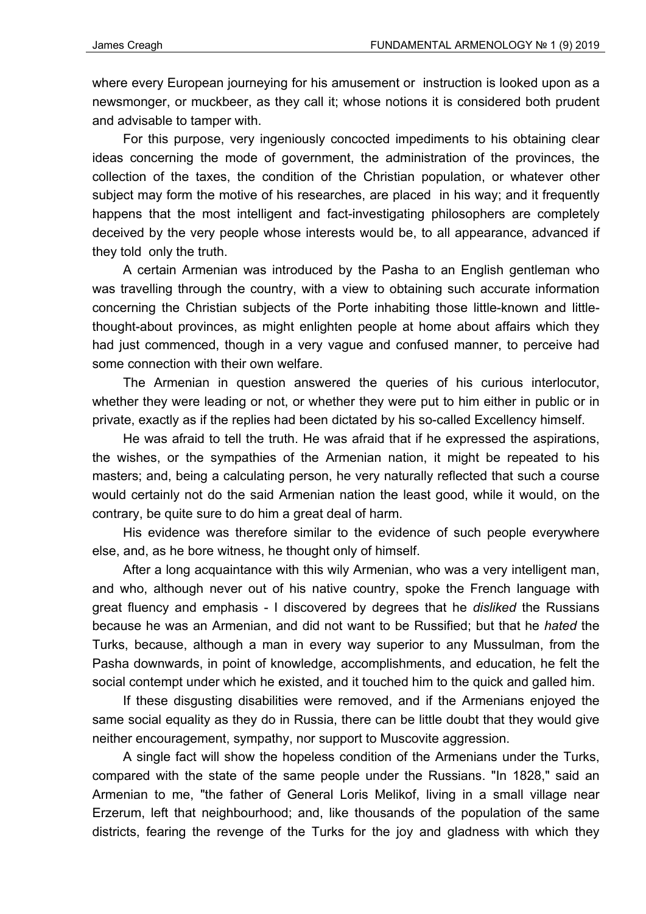where every European journeying for his amusement or instruction is looked upon as a newsmonger, or muckbeer, as they call it; whose notions it is considered both prudent and advisable to tamper with.

For this purpose, very ingeniously concocted impediments to his obtaining clear ideas concerning the mode of government, the administration of the provinces, the collection of the taxes, the condition of the Christian population, or whatever other subject may form the motive of his researches, are placed in his way; and it frequently happens that the most intelligent and fact-investigating philosophers are completely deceived by the very people whose interests would be, to all appearance, advanced if they told only the truth.

A certain Armenian was introduced by the Pasha to an English gentleman who was travelling through the country, with a view to obtaining such accurate information concerning the Christian subjects of the Porte inhabiting those little-known and littlethought-about provinces, as might enlighten people at home about affairs which they had just commenced, though in a very vague and confused manner, to perceive had some connection with their own welfare.

The Armenian in question answered the queries of his curious interlocutor, whether they were leading or not, or whether they were put to him either in public or in private, exactly as if the replies had been dictated by his so-called Excellency himself.

He was afraid to tell the truth. He was afraid that if he expressed the aspirations, the wishes, or the sympathies of the Armenian nation, it might be repeated to his masters; and, being a calculating person, he very naturally reflected that such a course would certainly not do the said Armenian nation the least good, while it would, on the contrary, be quite sure to do him a great deal of harm.

His evidence was therefore similar to the evidence of such people everywhere else, and, as he bore witness, he thought only of himself.

After a long acquaintance with this wily Armenian, who was a very intelligent man, and who, although never out of his native country, spoke the French language with great fluency and emphasis - I discovered by degrees that he *disliked* the Russians because he was an Armenian, and did not want to be Russified; but that he *hated* the Turks, because, although a man in every way superior to any Mussulman, from the Pasha downwards, in point of knowledge, accomplishments, and education, he felt the social contempt under which he existed, and it touched him to the quick and galled him.

If these disgusting disabilities were removed, and if the Armenians enjoyed the same social equality as they do in Russia, there can be little doubt that they would give neither encouragement, sympathy, nor support to Muscovite aggression.

A single fact will show the hopeless condition of the Armenians under the Turks, compared with the state of the same people under the Russians. "In 1828," said an Armenian to me, "the father of General Loris Melikof, living in a small village near Erzerum, left that neighbourhood; and, like thousands of the population of the same districts, fearing the revenge of the Turks for the joy and gladness with which they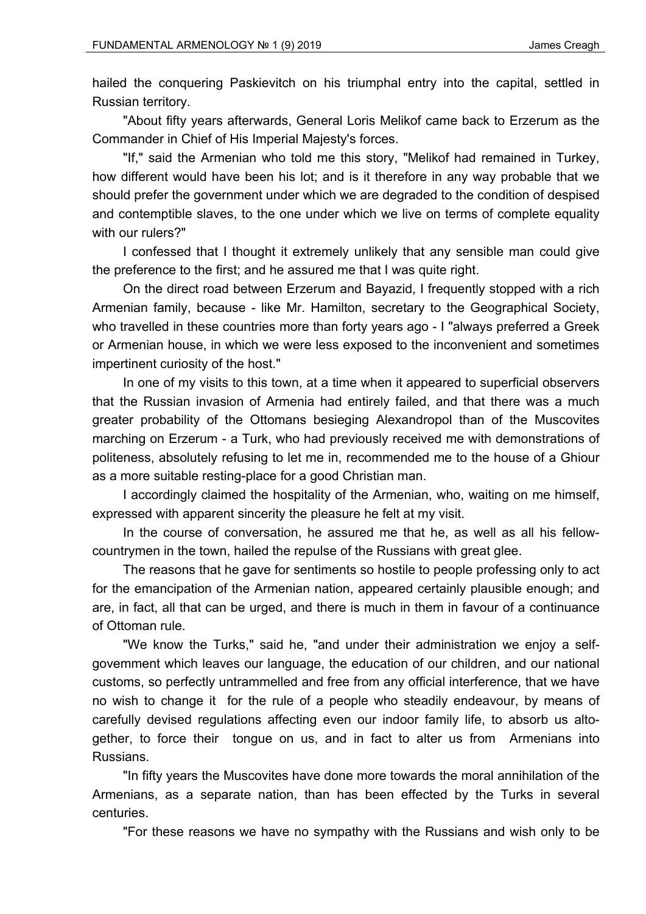hailed the conquering Paskievitch on his triumphal entry into the capital, settled in Russian territory.

"About fifty years afterwards, General Loris Melikof came back to Erzerum as the Commander in Chief of His Imperial Majesty's forces.

"If," said the Armenian who told me this story, "Melikof had remained in Turkey, how different would have been his lot; and is it therefore in any way probable that we should prefer the government under which we are degraded to the condition of despised and contemptible slaves, to the one under which we live on terms of complete equality with our rulers?"

I confessed that I thought it extremely unlikely that any sensible man could give the preference to the first; and he assured me that I was quite right.

On the direct road between Erzerum and Bayazid, I frequently stopped with a rich Armenian family, because - like Mr. Hamilton, secretary to the Geographical Society, who travelled in these countries more than forty years ago - I "always preferred a Greek or Armenian house, in which we were less exposed to the inconvenient and sometimes impertinent curiosity of the host."

In one of my visits to this town, at a time when it appeared to superficial observers that the Russian invasion of Armenia had entirely failed, and that there was a much greater probability of the Ottomans besieging Alexandropol than of the Muscovites marching on Erzerum - a Turk, who had previously received me with demonstrations of politeness, absolutely refusing to let me in, recommended me to the house of a Ghiour as a more suitable resting-place for a good Christian man.

I accordingly claimed the hospitality of the Armenian, who, waiting on me himself, expressed with apparent sincerity the pleasure he felt at my visit.

In the course of conversation, he assured me that he, as well as all his fellowcountrymen in the town, hailed the repulse of the Russians with great glee.

The reasons that he gave for sentiments so hostile to people professing only to act for the emancipation of the Armenian nation, appeared certainly plausible enough; and are, in fact, all that can be urged, and there is much in them in favour of a continuance of Ottoman rule.

"We know the Turks," said he, "and under their administration we enjoy a selfgovemment which leaves our language, the education of our children, and our national customs, so perfectly untrammelled and free from any official interference, that we have no wish to change it for the rule of a people who steadily endeavour, by means of carefully devised regulations affecting even our indoor family life, to absorb us altogether, to force their tongue on us, and in fact to alter us from Armenians into Russians.

"In fifty years the Muscovites have done more towards the moral annihilation of the Armenians, as a separate nation, than has been effected by the Turks in several centuries.

"For these reasons we have no sympathy with the Russians and wish only to be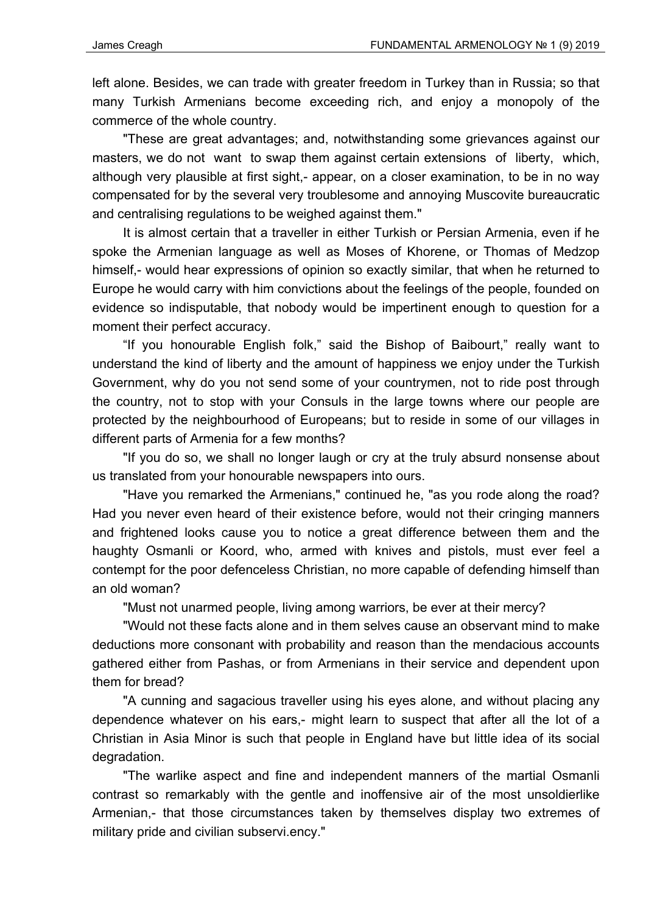left alone. Besides, we can trade with greater freedom in Turkey than in Russia; so that many Turkish Armenians become exceeding rich, and enjoy a monopoly of the commerce of the whole country.

"These are great advantages; and, notwithstanding some grievances against our masters, we do not want to swap them against certain extensions of liberty, which, although very plausible at first sight,- appear, on a closer examination, to be in no way compensated for by the several very troublesome and annoying Muscovite bureaucratic and centralising regulations to be weighed against them."

It is almost certain that a traveller in either Turkish or Persian Armenia, even if he spoke the Armenian language as well as Moses of Khorene, or Thomas of Medzop himself,- would hear expressions of opinion so exactly similar, that when he returned to Europe he would carry with him convictions about the feelings of the people, founded on evidence so indisputable, that nobody would be impertinent enough to question for a moment their perfect accuracy.

"If you honourable English folk," said the Bishop of Baibourt," really want to understand the kind of liberty and the amount of happiness we enjoy under the Turkish Government, why do you not send some of your countrymen, not to ride post through the country, not to stop with your Consuls in the large towns where our people are protected by the neighbourhood of Europeans; but to reside in some of our villages in different parts of Armenia for a few months?

"If you do so, we shall no longer laugh or cry at the truly absurd nonsense about us translated from your honourable newspapers into ours.

"Have you remarked the Armenians," continued he, "as you rode along the road? Had you never even heard of their existence before, would not their cringing manners and frightened looks cause you to notice a great difference between them and the haughty Osmanli or Koord, who, armed with knives and pistols, must ever feel a contempt for the poor defenceless Christian, no more capable of defending himself than an old woman?

"Must not unarmed people, living among warriors, be ever at their mercy?

"Would not these facts alone and in them selves cause an observant mind to make deductions more consonant with probability and reason than the mendacious accounts gathered either from Pashas, or from Armenians in their service and dependent upon them for bread?

"A cunning and sagacious traveller using his eyes alone, and without placing any dependence whatever on his ears,- might learn to suspect that after all the lot of a Christian in Asia Minor is such that people in England have but little idea of its social degradation.

"The warlike aspect and fine and independent manners of the martial Osmanli contrast so remarkably with the gentle and inoffensive air of the most unsoldierlike Armenian,- that those circumstances taken by themselves display two extremes of military pride and civilian subservi.ency."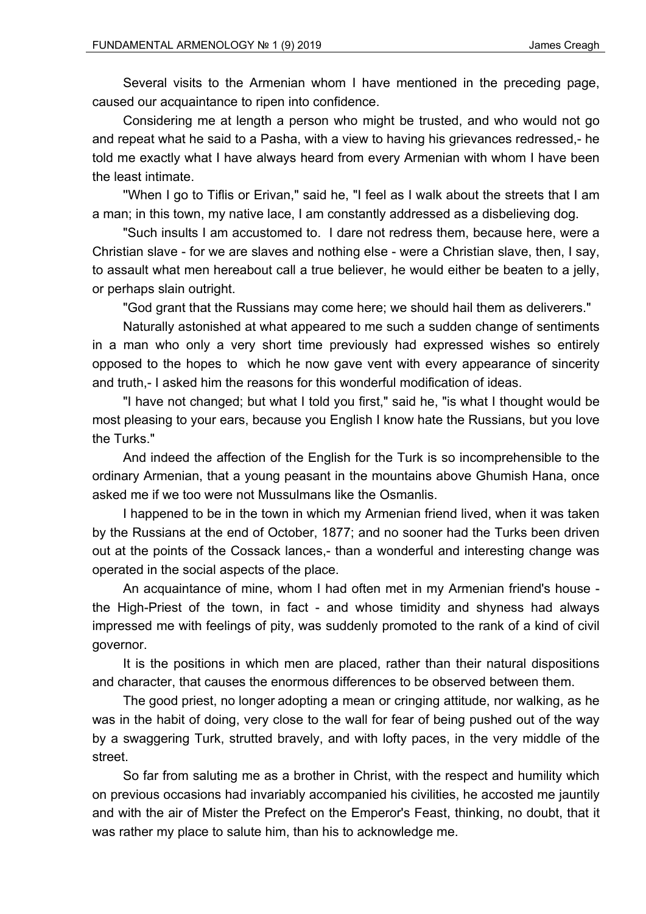Several visits to the Armenian whom I have mentioned in the preceding page, caused our acquaintance to ripen into confidence.

Considering me at length a person who might be trusted, and who would not go and repeat what he said to a Pasha, with a view to having his grievances redressed,- he told me exactly what I have always heard from every Armenian with whom I have been the least intimate.

''When I go to Tiflis or Erivan," said he, "I feel as I walk about the streets that I am a man; in this town, my native lace, I am constantly addressed as a disbelieving dog.

"Such insults I am accustomed to. I dare not redress them, because here, were a Christian slave - for we are slaves and nothing else - were a Christian slave, then, I say, to assault what men hereabout call a true believer, he would either be beaten to a jelly, or perhaps slain outright.

"God grant that the Russians may come here; we should hail them as deliverers."

Naturally astonished at what appeared to me such a sudden change of sentiments in a man who only a very short time previously had expressed wishes so entirely opposed to the hopes to which he now gave vent with every appearance of sincerity and truth,- I asked him the reasons for this wonderful modification of ideas.

"I have not changed; but what I told you first," said he, "is what I thought would be most pleasing to your ears, because you English I know hate the Russians, but you love the Turks."

And indeed the affection of the English for the Turk is so incomprehensible to the ordinary Armenian, that a young peasant in the mountains above Ghumish Hana, once asked me if we too were not Mussulmans like the Osmanlis.

I happened to be in the town in which my Armenian friend lived, when it was taken by the Russians at the end of October, 1877; and no sooner had the Turks been driven out at the points of the Cossack lances,- than a wonderful and interesting change was operated in the social aspects of the place.

An acquaintance of mine, whom I had often met in my Armenian friend's house the High-Priest of the town, in fact - and whose timidity and shyness had always impressed me with feelings of pity, was suddenly promoted to the rank of a kind of civil governor.

It is the positions in which men are placed, rather than their natural dispositions and character, that causes the enormous differences to be observed between them.

The good priest, no longer adopting a mean or cringing attitude, nor walking, as he was in the habit of doing, very close to the wall for fear of being pushed out of the way by a swaggering Turk, strutted bravely, and with lofty paces, in the very middle of the street.

So far from saluting me as a brother in Christ, with the respect and humility which on previous occasions had invariably accompanied his civilities, he accosted me jauntily and with the air of Mister the Prefect on the Emperor's Feast, thinking, no doubt, that it was rather my place to salute him, than his to acknowledge me.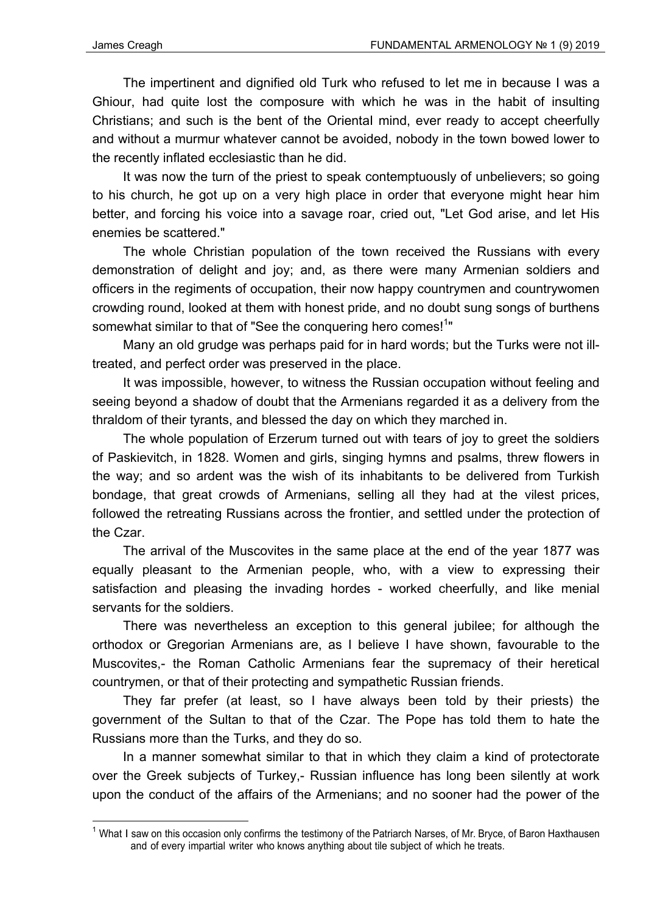1

The impertinent and dignified old Turk who refused to let me in because I was a Ghiour, had quite lost the composure with which he was in the habit of insulting Christians; and such is the bent of the OrientaI mind, ever ready to accept cheerfully and without a murmur whatever cannot be avoided, nobody in the town bowed lower to the recently inflated ecclesiastic than he did.

It was now the turn of the priest to speak contemptuously of unbelievers; so going to his church, he got up on a very high place in order that everyone might hear him better, and forcing his voice into a savage roar, cried out, "Let God arise, and let His enemies be scattered."

The whole Christian population of the town received the Russians with every demonstration of delight and joy; and, as there were many Armenian soldiers and officers in the regiments of occupation, their now happy countrymen and countrywomen crowding round, looked at them with honest pride, and no doubt sung songs of burthens somewhat similar to that of "See the conquering hero comes!<sup>1</sup>"

Many an old grudge was perhaps paid for in hard words; but the Turks were not illtreated, and perfect order was preserved in the place.

It was impossible, however, to witness the Russian occupation without feeling and seeing beyond a shadow of doubt that the Armenians regarded it as a delivery from the thraldom of their tyrants, and blessed the day on which they marched in.

The whole population of Erzerum turned out with tears of joy to greet the soldiers of Paskievitch, in 1828. Women and girls, singing hymns and psalms, threw flowers in the way; and so ardent was the wish of its inhabitants to be delivered from Turkish bondage, that great crowds of Armenians, selling all they had at the vilest prices, followed the retreating Russians across the frontier, and settled under the protection of the Czar.

The arrival of the Muscovites in the same place at the end of the year 1877 was equally pleasant to the Armenian people, who, with a view to expressing their satisfaction and pleasing the invading hordes - worked cheerfully, and like menial servants for the soldiers.

There was nevertheless an exception to this general jubilee; for although the orthodox or Gregorian Armenians are, as I believe I have shown, favourable to the Muscovites,- the Roman Catholic Armenians fear the supremacy of their heretical countrymen, or that of their protecting and sympathetic Russian friends.

They far prefer (at least, so I have always been told by their priests) the government of the Sultan to that of the Czar. The Pope has told them to hate the Russians more than the Turks, and they do so.

In a manner somewhat similar to that in which they claim a kind of protectorate over the Greek subjects of Turkey,- Russian influence has long been silently at work upon the conduct of the affairs of the Armenians; and no sooner had the power of the

<sup>1</sup> What I saw on this occasion only confirms the testimony of the Patriarch Narses, of Mr*.* Bryce, of Baron Haxthausen and of every impartial writer who knows anything about tile subject of which he treats.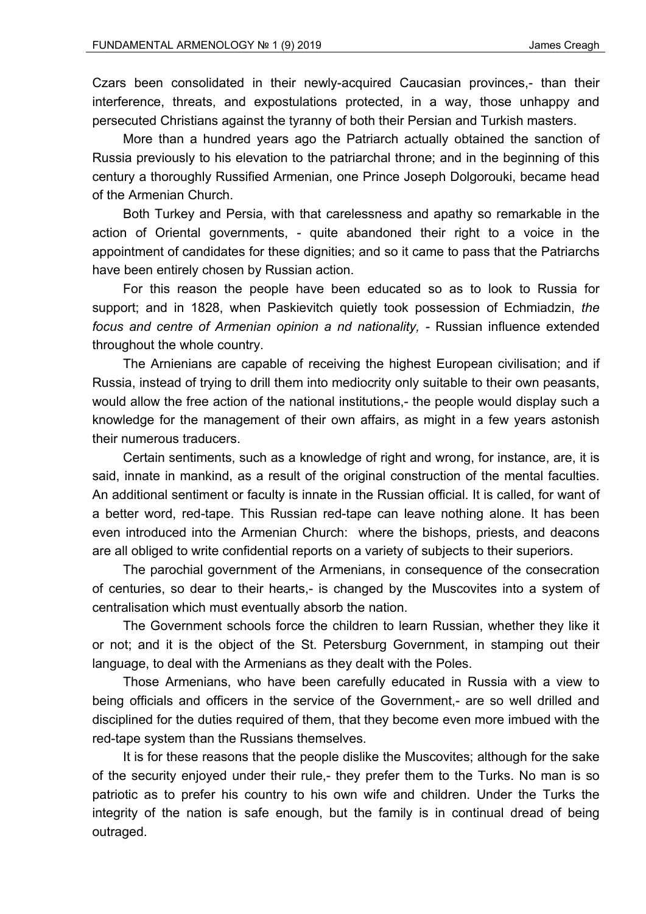Czars been consolidated in their newly-acquired Caucasian provinces,- than their interference, threats, and expostulations protected, in a way, those unhappy and persecuted Christians against the tyranny of both their Persian and Turkish masters.

More than a hundred years ago the Patriarch actually obtained the sanction of Russia previously to his elevation to the patriarchal throne; and in the beginning of this century a thoroughly Russified Armenian, one Prince Joseph Dolgorouki, became head of the Armenian Church.

Both Turkey and Persia, with that carelessness and apathy so remarkable in the action of Oriental governments, - quite abandoned their right to a voice in the appointment of candidates for these dignities; and so it came to pass that the Patriarchs have been entirely chosen by Russian action.

For this reason the people have been educated so as to look to Russia for support; and in 1828, when Paskievitch quietly took possession of Echmiadzin, *the*  focus and centre of Armenian opinion a nd nationality, - Russian influence extended throughout the whole country.

The Arnienians are capable of receiving the highest European civilisation; and if Russia, instead of trying to drill them into mediocrity only suitable to their own peasants, would allow the free action of the national institutions,- the people would display such a knowledge for the management of their own affairs, as might in a few years astonish their numerous traducers.

Certain sentiments, such as a knowledge of right and wrong, for instance, are, it is said, innate in mankind, as a result of the original construction of the mental faculties. An additional sentiment or faculty is innate in the Russian official. It is called, for want of a better word, red-tape. This Russian red-tape can leave nothing alone. It has been even introduced into the Armenian Church: where the bishops, priests, and deacons are all obliged to write confidential reports on a variety of subjects to their superiors.

The parochial government of the Armenians, in consequence of the consecration of centuries, so dear to their hearts,- is changed by the Muscovites into a system of centralisation which must eventually absorb the nation.

The Government schools force the children to learn Russian, whether they like it or not; and it is the object of the St. Petersburg Government, in stamping out their language, to deal with the Armenians as they dealt with the Poles.

Those Armenians, who have been carefully educated in Russia with a view to being officials and officers in the service of the Government,- are so well drilled and disciplined for the duties required of them, that they become even more imbued with the red-tape system than the Russians themselves.

It is for these reasons that the people dislike the Muscovites; although for the sake of the security enjoyed under their rule,- they prefer them to the Turks. No man is so patriotic as to prefer his country to his own wife and children. Under the Turks the integrity of the nation is safe enough, but the family is in continual dread of being outraged.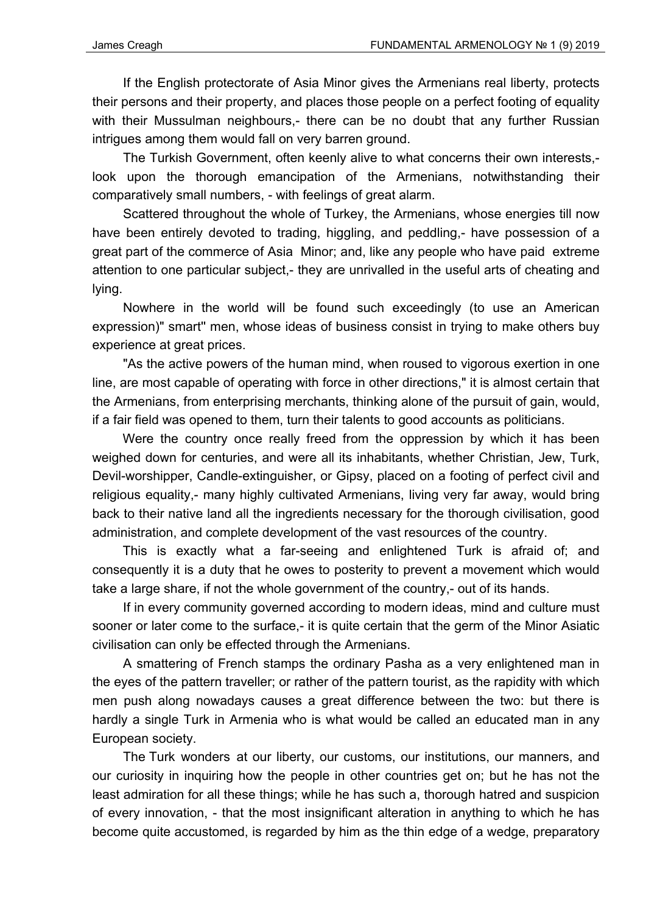If the English protectorate of Asia Minor gives the Armenians real liberty, protects their persons and their property, and places those people on a perfect footing of equality with their Mussulman neighbours,- there can be no doubt that any further Russian intrigues among them would fall on very barren ground.

The Turkish Government, often keenly alive to what concerns their own interests, look upon the thorough emancipation of the Armenians, notwithstanding their comparatively small numbers, - with feelings of great alarm.

Scattered throughout the whole of Turkey, the Armenians, whose energies till now have been entirely devoted to trading, higgling, and peddling,- have possession of a great part of the commerce of Asia Minor; and, like any people who have paid extreme attention to one particular subject,- they are unrivalled in the useful arts of cheating and lying.

Nowhere in the world will be found such exceedingly (to use an American expression)" smart'' men, whose ideas of business consist in trying to make others buy experience at great prices.

"As the active powers of the human mind, when roused to vigorous exertion in one line, are most capable of operating with force in other directions," it is almost certain that the Armenians, from enterprising merchants, thinking alone of the pursuit of gain, would, if a fair field was opened to them, turn their talents to good accounts as politicians.

Were the country once really freed from the oppression by which it has been weighed down for centuries, and were all its inhabitants, whether Christian, Jew, Turk, Devil-worshipper, Candle-extinguisher, or Gipsy, placed on a footing of perfect civil and religious equality,- many highly cultivated Armenians, living very far away, would bring back to their native land all the ingredients necessary for the thorough civilisation, good administration, and complete development of the vast resources of the country.

This is exactly what a far-seeing and enlightened Turk is afraid of; and consequently it is a duty that he owes to posterity to prevent a movement which would take a large share, if not the whole government of the country,- out of its hands.

If in every community governed according to modern ideas, mind and culture must sooner or later come to the surface,- it is quite certain that the germ of the Minor Asiatic civilisation can only be effected through the Armenians.

A smattering of French stamps the ordinary Pasha as a very enlightened man in the eyes of the pattern traveller; or rather of the pattern tourist, as the rapidity with which men push along nowadays causes a great difference between the two: but there is hardly a single Turk in Armenia who is what would be called an educated man in any European society.

The Turk wonders at our liberty, our customs, our institutions, our manners, and our curiosity in inquiring how the people in other countries get on; but he has not the least admiration for all these things; while he has such a, thorough hatred and suspicion of every innovation, - that the most insignificant alteration in anything to which he has become quite accustomed, is regarded by him as the thin edge of a wedge, preparatory